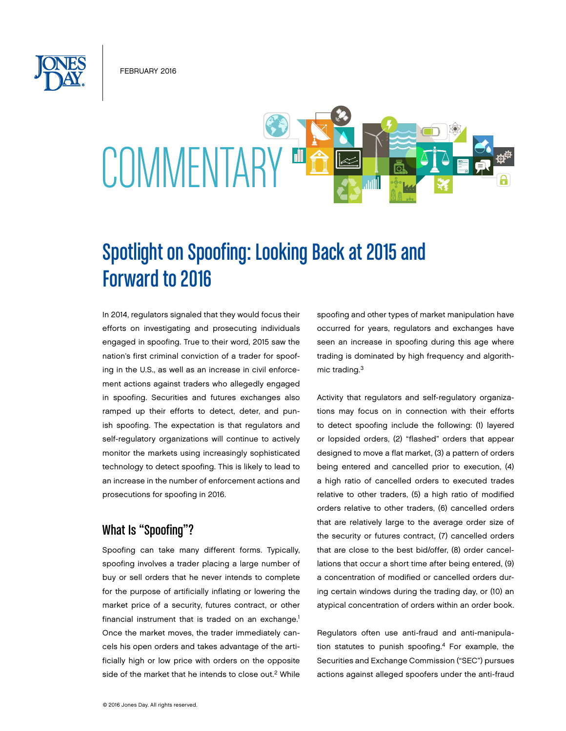February 2016



# Spotlight on Spoofing: Looking Back at 2015 and Forward to 2016

In 2014, regulators signaled that they would focus their efforts on investigating and prosecuting individuals engaged in spoofing. True to their word, 2015 saw the nation's first criminal conviction of a trader for spoofing in the U.S., as well as an increase in civil enforcement actions against traders who allegedly engaged in spoofing. Securities and futures exchanges also ramped up their efforts to detect, deter, and punish spoofing. The expectation is that regulators and self-regulatory organizations will continue to actively monitor the markets using increasingly sophisticated technology to detect spoofing. This is likely to lead to an increase in the number of enforcement actions and prosecutions for spoofing in 2016.

# What Is "Spoofing"?

Spoofing can take many different forms. Typically, spoofing involves a trader placing a large number of buy or sell orders that he never intends to complete for the purpose of artificially inflating or lowering the market price of a security, futures contract, or other financial instrument that is traded on an exchange.<sup>1</sup> Once the market moves, the trader immediately cancels his open orders and takes advantage of the artificially high or low price with orders on the opposite side of the market that he intends to close out.<sup>2</sup> While spoofing and other types of market manipulation have occurred for years, regulators and exchanges have seen an increase in spoofing during this age where trading is dominated by high frequency and algorithmic trading.3

Activity that regulators and self-regulatory organizations may focus on in connection with their efforts to detect spoofing include the following: (1) layered or lopsided orders, (2) "flashed" orders that appear designed to move a flat market, (3) a pattern of orders being entered and cancelled prior to execution, (4) a high ratio of cancelled orders to executed trades relative to other traders, (5) a high ratio of modified orders relative to other traders, (6) cancelled orders that are relatively large to the average order size of the security or futures contract, (7) cancelled orders that are close to the best bid/offer, (8) order cancellations that occur a short time after being entered, (9) a concentration of modified or cancelled orders during certain windows during the trading day, or (10) an atypical concentration of orders within an order book.

Regulators often use anti-fraud and anti-manipulation statutes to punish spoofing.<sup>4</sup> For example, the Securities and Exchange Commission ("SEC") pursues actions against alleged spoofers under the anti-fraud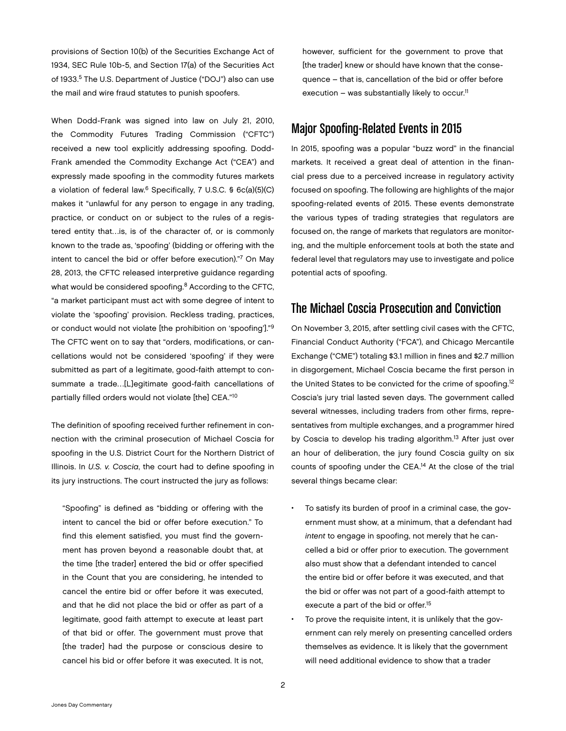provisions of Section 10(b) of the Securities Exchange Act of 1934, SEC Rule 10b-5, and Section 17(a) of the Securities Act of 1933.<sup>5</sup> The U.S. Department of Justice ("DOJ") also can use the mail and wire fraud statutes to punish spoofers.

When Dodd-Frank was signed into law on July 21, 2010, the Commodity Futures Trading Commission ("CFTC") received a new tool explicitly addressing spoofing. Dodd-Frank amended the Commodity Exchange Act ("CEA") and expressly made spoofing in the commodity futures markets a violation of federal law.6 Specifically, 7 U.S.C. § 6c(a)(5)(C) makes it "unlawful for any person to engage in any trading, practice, or conduct on or subject to the rules of a registered entity that…is, is of the character of, or is commonly known to the trade as, 'spoofing' (bidding or offering with the intent to cancel the bid or offer before execution)."7 On May 28, 2013, the CFTC released interpretive guidance regarding what would be considered spoofing.<sup>8</sup> According to the CFTC, "a market participant must act with some degree of intent to violate the 'spoofing' provision. Reckless trading, practices, or conduct would not violate [the prohibition on 'spoofing']."9 The CFTC went on to say that "orders, modifications, or cancellations would not be considered 'spoofing' if they were submitted as part of a legitimate, good-faith attempt to consummate a trade…[L]egitimate good-faith cancellations of partially filled orders would not violate [the] CEA."10

The definition of spoofing received further refinement in connection with the criminal prosecution of Michael Coscia for spoofing in the U.S. District Court for the Northern District of Illinois. In *U.S. v. Coscia*, the court had to define spoofing in its jury instructions. The court instructed the jury as follows:

"Spoofing" is defined as "bidding or offering with the intent to cancel the bid or offer before execution." To find this element satisfied, you must find the government has proven beyond a reasonable doubt that, at the time [the trader] entered the bid or offer specified in the Count that you are considering, he intended to cancel the entire bid or offer before it was executed, and that he did not place the bid or offer as part of a legitimate, good faith attempt to execute at least part of that bid or offer. The government must prove that [the trader] had the purpose or conscious desire to cancel his bid or offer before it was executed. It is not,

however, sufficient for the government to prove that [the trader] knew or should have known that the consequence – that is, cancellation of the bid or offer before execution – was substantially likely to occur.<sup>11</sup>

# Major Spoofing-Related Events in 2015

In 2015, spoofing was a popular "buzz word" in the financial markets. It received a great deal of attention in the financial press due to a perceived increase in regulatory activity focused on spoofing. The following are highlights of the major spoofing-related events of 2015. These events demonstrate the various types of trading strategies that regulators are focused on, the range of markets that regulators are monitoring, and the multiple enforcement tools at both the state and federal level that regulators may use to investigate and police potential acts of spoofing.

## The Michael Coscia Prosecution and Conviction

On November 3, 2015, after settling civil cases with the CFTC, Financial Conduct Authority ("FCA"), and Chicago Mercantile Exchange ("CME") totaling \$3.1 million in fines and \$2.7 million in disgorgement, Michael Coscia became the first person in the United States to be convicted for the crime of spoofing.<sup>12</sup> Coscia's jury trial lasted seven days. The government called several witnesses, including traders from other firms, representatives from multiple exchanges, and a programmer hired by Coscia to develop his trading algorithm.<sup>13</sup> After just over an hour of deliberation, the jury found Coscia guilty on six counts of spoofing under the CEA.14 At the close of the trial several things became clear:

- To satisfy its burden of proof in a criminal case, the government must show, at a minimum, that a defendant had *intent* to engage in spoofing, not merely that he cancelled a bid or offer prior to execution. The government also must show that a defendant intended to cancel the entire bid or offer before it was executed, and that the bid or offer was not part of a good-faith attempt to execute a part of the bid or offer.<sup>15</sup>
- To prove the requisite intent, it is unlikely that the government can rely merely on presenting cancelled orders themselves as evidence. It is likely that the government will need additional evidence to show that a trader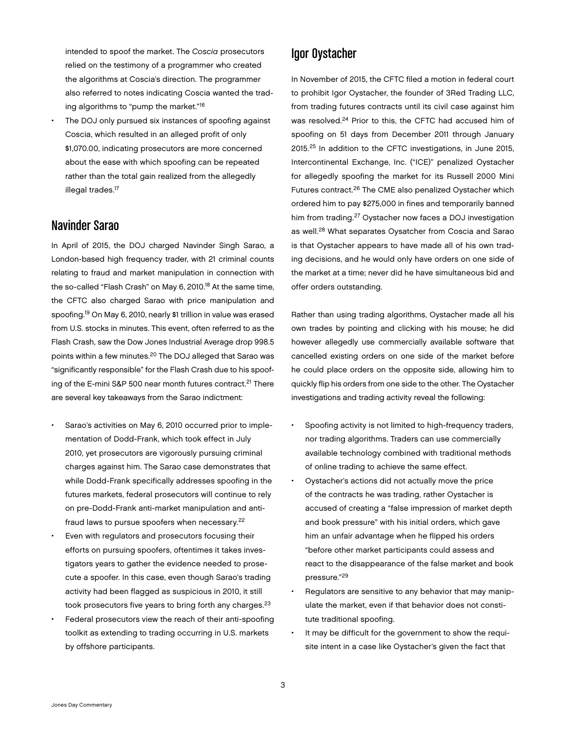intended to spoof the market. The *Coscia* prosecutors relied on the testimony of a programmer who created the algorithms at Coscia's direction. The programmer also referred to notes indicating Coscia wanted the trading algorithms to "pump the market."16

The DOJ only pursued six instances of spoofing against Coscia, which resulted in an alleged profit of only \$1,070.00, indicating prosecutors are more concerned about the ease with which spoofing can be repeated rather than the total gain realized from the allegedly illegal trades.<sup>17</sup>

#### Navinder Sarao

In April of 2015, the DOJ charged Navinder Singh Sarao, a London-based high frequency trader, with 21 criminal counts relating to fraud and market manipulation in connection with the so-called "Flash Crash" on May 6, 2010.<sup>18</sup> At the same time, the CFTC also charged Sarao with price manipulation and spoofing.19 On May 6, 2010, nearly \$1 trillion in value was erased from U.S. stocks in minutes. This event, often referred to as the Flash Crash, saw the Dow Jones Industrial Average drop 998.5 points within a few minutes.20 The DOJ alleged that Sarao was "significantly responsible" for the Flash Crash due to his spoofing of the E-mini S&P 500 near month futures contract.<sup>21</sup> There are several key takeaways from the Sarao indictment:

- Sarao's activities on May 6, 2010 occurred prior to implementation of Dodd-Frank, which took effect in July 2010, yet prosecutors are vigorously pursuing criminal charges against him. The Sarao case demonstrates that while Dodd-Frank specifically addresses spoofing in the futures markets, federal prosecutors will continue to rely on pre-Dodd-Frank anti-market manipulation and antifraud laws to pursue spoofers when necessary.22
- Even with regulators and prosecutors focusing their efforts on pursuing spoofers, oftentimes it takes investigators years to gather the evidence needed to prosecute a spoofer. In this case, even though Sarao's trading activity had been flagged as suspicious in 2010, it still took prosecutors five years to bring forth any charges.<sup>23</sup>
- Federal prosecutors view the reach of their anti-spoofing toolkit as extending to trading occurring in U.S. markets by offshore participants.

#### Igor Oystacher

In November of 2015, the CFTC filed a motion in federal court to prohibit Igor Oystacher, the founder of 3Red Trading LLC, from trading futures contracts until its civil case against him was resolved.<sup>24</sup> Prior to this, the CFTC had accused him of spoofing on 51 days from December 2011 through January 2015.25 In addition to the CFTC investigations, in June 2015, Intercontinental Exchange, Inc. ("ICE)" penalized Oystacher for allegedly spoofing the market for its Russell 2000 Mini Futures contract.26 The CME also penalized Oystacher which ordered him to pay \$275,000 in fines and temporarily banned him from trading.27 Oystacher now faces a DOJ investigation as well.28 What separates Oysatcher from Coscia and Sarao is that Oystacher appears to have made all of his own trading decisions, and he would only have orders on one side of the market at a time; never did he have simultaneous bid and offer orders outstanding.

Rather than using trading algorithms, Oystacher made all his own trades by pointing and clicking with his mouse; he did however allegedly use commercially available software that cancelled existing orders on one side of the market before he could place orders on the opposite side, allowing him to quickly flip his orders from one side to the other. The Oystacher investigations and trading activity reveal the following:

- Spoofing activity is not limited to high-frequency traders, nor trading algorithms. Traders can use commercially available technology combined with traditional methods of online trading to achieve the same effect.
- Oystacher's actions did not actually move the price of the contracts he was trading, rather Oystacher is accused of creating a "false impression of market depth and book pressure" with his initial orders, which gave him an unfair advantage when he flipped his orders "before other market participants could assess and react to the disappearance of the false market and book pressure."29
- Regulators are sensitive to any behavior that may manipulate the market, even if that behavior does not constitute traditional spoofing.
- It may be difficult for the government to show the requisite intent in a case like Oystacher's given the fact that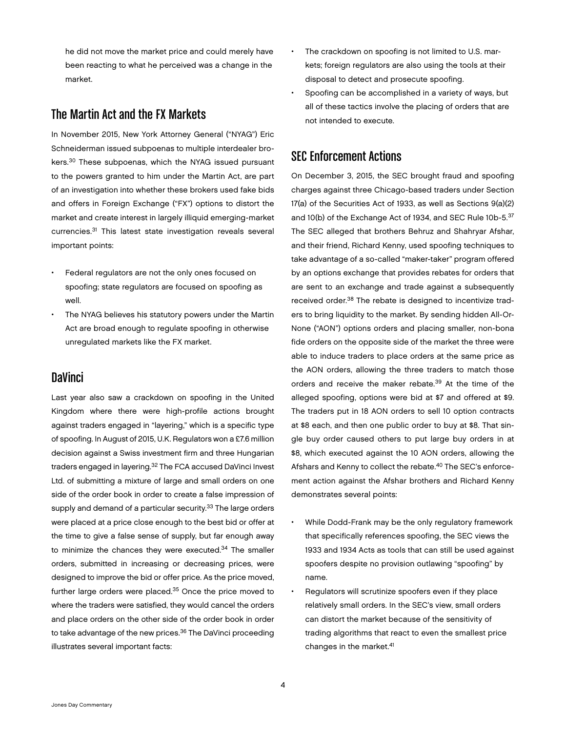he did not move the market price and could merely have been reacting to what he perceived was a change in the market.

## The Martin Act and the FX Markets

In November 2015, New York Attorney General ("NYAG") Eric Schneiderman issued subpoenas to multiple interdealer brokers.30 These subpoenas, which the NYAG issued pursuant to the powers granted to him under the Martin Act, are part of an investigation into whether these brokers used fake bids and offers in Foreign Exchange ("FX") options to distort the market and create interest in largely illiquid emerging-market currencies.31 This latest state investigation reveals several important points:

- Federal regulators are not the only ones focused on spoofing; state regulators are focused on spoofing as well.
- The NYAG believes his statutory powers under the Martin Act are broad enough to regulate spoofing in otherwise unregulated markets like the FX market.

# **DaVinci**

Last year also saw a crackdown on spoofing in the United Kingdom where there were high-profile actions brought against traders engaged in "layering," which is a specific type of spoofing. In August of 2015, U.K. Regulators won a £7.6 million decision against a Swiss investment firm and three Hungarian traders engaged in layering.<sup>32</sup> The FCA accused DaVinci Invest Ltd. of submitting a mixture of large and small orders on one side of the order book in order to create a false impression of supply and demand of a particular security.<sup>33</sup> The large orders were placed at a price close enough to the best bid or offer at the time to give a false sense of supply, but far enough away to minimize the chances they were executed.<sup>34</sup> The smaller orders, submitted in increasing or decreasing prices, were designed to improve the bid or offer price. As the price moved, further large orders were placed.35 Once the price moved to where the traders were satisfied, they would cancel the orders and place orders on the other side of the order book in order to take advantage of the new prices.<sup>36</sup> The DaVinci proceeding illustrates several important facts:

- The crackdown on spoofing is not limited to U.S. markets; foreign regulators are also using the tools at their disposal to detect and prosecute spoofing.
- Spoofing can be accomplished in a variety of ways, but all of these tactics involve the placing of orders that are not intended to execute.

## SEC Enforcement Actions

On December 3, 2015, the SEC brought fraud and spoofing charges against three Chicago-based traders under Section 17(a) of the Securities Act of 1933, as well as Sections 9(a)(2) and 10(b) of the Exchange Act of 1934, and SEC Rule 10b-5.<sup>37</sup> The SEC alleged that brothers Behruz and Shahryar Afshar, and their friend, Richard Kenny, used spoofing techniques to take advantage of a so-called "maker-taker" program offered by an options exchange that provides rebates for orders that are sent to an exchange and trade against a subsequently received order.<sup>38</sup> The rebate is designed to incentivize traders to bring liquidity to the market. By sending hidden All-Or-None ("AON") options orders and placing smaller, non-bona fide orders on the opposite side of the market the three were able to induce traders to place orders at the same price as the AON orders, allowing the three traders to match those orders and receive the maker rebate.<sup>39</sup> At the time of the alleged spoofing, options were bid at \$7 and offered at \$9. The traders put in 18 AON orders to sell 10 option contracts at \$8 each, and then one public order to buy at \$8. That single buy order caused others to put large buy orders in at \$8, which executed against the 10 AON orders, allowing the Afshars and Kenny to collect the rebate.<sup>40</sup> The SEC's enforcement action against the Afshar brothers and Richard Kenny demonstrates several points:

- While Dodd-Frank may be the only regulatory framework that specifically references spoofing, the SEC views the 1933 and 1934 Acts as tools that can still be used against spoofers despite no provision outlawing "spoofing" by name.
- Regulators will scrutinize spoofers even if they place relatively small orders. In the SEC's view, small orders can distort the market because of the sensitivity of trading algorithms that react to even the smallest price changes in the market.<sup>41</sup>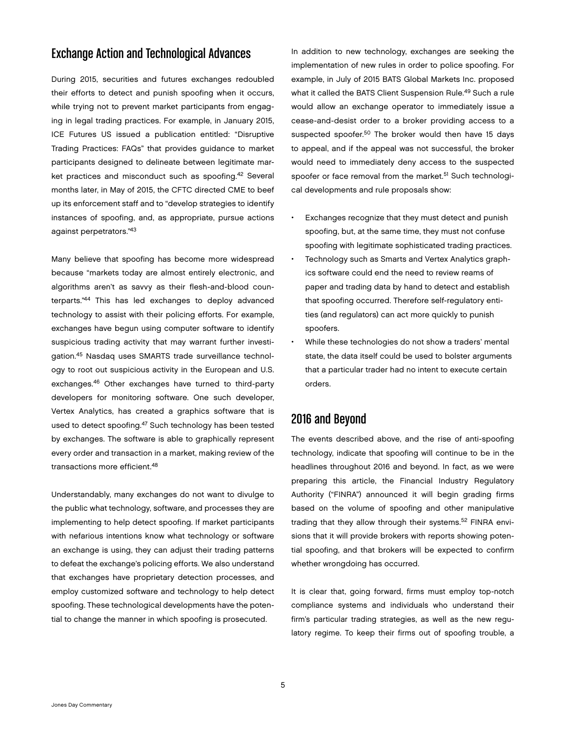## Exchange Action and Technological Advances

During 2015, securities and futures exchanges redoubled their efforts to detect and punish spoofing when it occurs, while trying not to prevent market participants from engaging in legal trading practices. For example, in January 2015, ICE Futures US issued a publication entitled: "Disruptive Trading Practices: FAQs" that provides guidance to market participants designed to delineate between legitimate market practices and misconduct such as spoofing.<sup>42</sup> Several months later, in May of 2015, the CFTC directed CME to beef up its enforcement staff and to "develop strategies to identify instances of spoofing, and, as appropriate, pursue actions against perpetrators."43

Many believe that spoofing has become more widespread because "markets today are almost entirely electronic, and algorithms aren't as savvy as their flesh-and-blood counterparts."44 This has led exchanges to deploy advanced technology to assist with their policing efforts. For example, exchanges have begun using computer software to identify suspicious trading activity that may warrant further investigation.45 Nasdaq uses SMARTS trade surveillance technology to root out suspicious activity in the European and U.S. exchanges.46 Other exchanges have turned to third-party developers for monitoring software. One such developer, Vertex Analytics, has created a graphics software that is used to detect spoofing.<sup>47</sup> Such technology has been tested by exchanges. The software is able to graphically represent every order and transaction in a market, making review of the transactions more efficient.<sup>48</sup>

Understandably, many exchanges do not want to divulge to the public what technology, software, and processes they are implementing to help detect spoofing. If market participants with nefarious intentions know what technology or software an exchange is using, they can adjust their trading patterns to defeat the exchange's policing efforts. We also understand that exchanges have proprietary detection processes, and employ customized software and technology to help detect spoofing. These technological developments have the potential to change the manner in which spoofing is prosecuted.

In addition to new technology, exchanges are seeking the implementation of new rules in order to police spoofing. For example, in July of 2015 BATS Global Markets Inc. proposed what it called the BATS Client Suspension Rule.<sup>49</sup> Such a rule would allow an exchange operator to immediately issue a cease-and-desist order to a broker providing access to a suspected spoofer.<sup>50</sup> The broker would then have 15 days to appeal, and if the appeal was not successful, the broker would need to immediately deny access to the suspected spoofer or face removal from the market.<sup>51</sup> Such technological developments and rule proposals show:

- Exchanges recognize that they must detect and punish spoofing, but, at the same time, they must not confuse spoofing with legitimate sophisticated trading practices.
- Technology such as Smarts and Vertex Analytics graphics software could end the need to review reams of paper and trading data by hand to detect and establish that spoofing occurred. Therefore self-regulatory entities (and regulators) can act more quickly to punish spoofers.
- While these technologies do not show a traders' mental state, the data itself could be used to bolster arguments that a particular trader had no intent to execute certain orders.

## 2016 and Beyond

The events described above, and the rise of anti-spoofing technology, indicate that spoofing will continue to be in the headlines throughout 2016 and beyond. In fact, as we were preparing this article, the Financial Industry Regulatory Authority ("FINRA") announced it will begin grading firms based on the volume of spoofing and other manipulative trading that they allow through their systems.<sup>52</sup> FINRA envisions that it will provide brokers with reports showing potential spoofing, and that brokers will be expected to confirm whether wrongdoing has occurred.

It is clear that, going forward, firms must employ top-notch compliance systems and individuals who understand their firm's particular trading strategies, as well as the new regulatory regime. To keep their firms out of spoofing trouble, a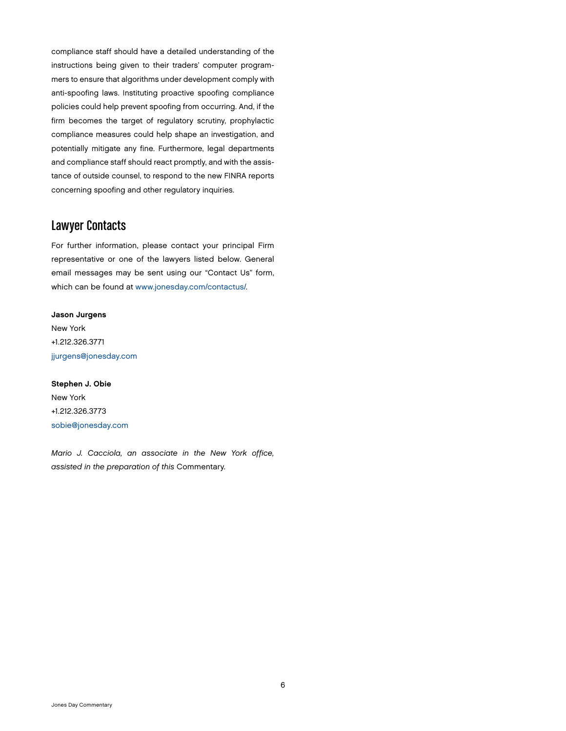compliance staff should have a detailed understanding of the instructions being given to their traders' computer programmers to ensure that algorithms under development comply with anti-spoofing laws. Instituting proactive spoofing compliance policies could help prevent spoofing from occurring. And, if the firm becomes the target of regulatory scrutiny, prophylactic compliance measures could help shape an investigation, and potentially mitigate any fine. Furthermore, legal departments and compliance staff should react promptly, and with the assistance of outside counsel, to respond to the new FINRA reports concerning spoofing and other regulatory inquiries.

## Lawyer Contacts

For further information, please contact your principal Firm representative or one of the lawyers listed below. General email messages may be sent using our "Contact Us" form, which can be found at [www.jonesday.com/contactus/](http://www.jonesday.com/contactus/).

Jason Jurgens New York +1.212.326.3771 [jjurgens@jonesday.com](mailto:jjurgens@jonesday.com)

Stephen J. Obie New York +1.212.326.3773 [sobie@jonesday.com](mailto:sobie@jonesday.com)

*Mario J. Cacciola, an associate in the New York office, assisted in the preparation of this* Commentary*.*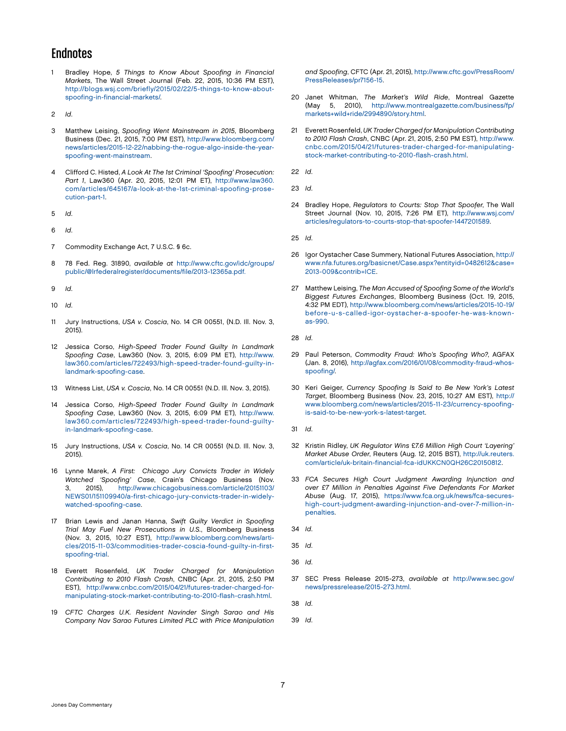#### **Endnotes**

1 Bradley Hope, *5 Things to Know About Spoofing in Financial Markets*, The Wall Street Journal (Feb. 22, 2015, 10:36 PM EST), [http://blogs.wsj.com/briefly/2015/02/22/5-things-to-know-about](http://blogs.wsj.com/briefly/2015/02/22/5-things-to-know-about-spoofing-in-financial-markets/)[spoofing-in-financial-markets/](http://blogs.wsj.com/briefly/2015/02/22/5-things-to-know-about-spoofing-in-financial-markets/).

2 *Id*.

- 3 Matthew Leising, *Spoofing Went Mainstream in 2015*, Bloomberg Business (Dec. 21, 2015, 7:00 PM EST), [http://www.bloomberg.com/](http://www.bloomberg.com/news/articles/2015-12-22/nabbing-the-rogue-algo-inside-the-year-spoofing-went-mainstream) [news/articles/2015-12-22/nabbing-the-rogue-algo-inside-the-year](http://www.bloomberg.com/news/articles/2015-12-22/nabbing-the-rogue-algo-inside-the-year-spoofing-went-mainstream)[spoofing-went-mainstream.](http://www.bloomberg.com/news/articles/2015-12-22/nabbing-the-rogue-algo-inside-the-year-spoofing-went-mainstream)
- 4 Clifford C. Histed, *A Look At The 1st Criminal 'Spoofing' Prosecution: Part 1*, Law360 (Apr. 20, 2015, 12:01 PM ET), [http://www.law360.](http://www.law360.com/articles/645167/a-look-at-the-1st-criminal-spoofing-prosecution-part-1) [com/articles/645167/a-look-at-the-1st-criminal-spoofing-prose](http://www.law360.com/articles/645167/a-look-at-the-1st-criminal-spoofing-prosecution-part-1)[cution-part-1.](http://www.law360.com/articles/645167/a-look-at-the-1st-criminal-spoofing-prosecution-part-1)
- 5 *Id*.
- 6 *Id*.
- 7 Commodity Exchange Act, 7 U.S.C. § 6c.
- 8 78 Fed. Reg. 31890, *available at* http://www.cftc.gov/idc/groups/ public/@lrfederalregister/documents/file/2013-12365a.pdf.
- 9 *Id*.
- 10 *Id*.
- 11 Jury Instructions, *USA v. Coscia*, No. 14 CR 00551, (N.D. Ill. Nov. 3, 2015).
- 12 Jessica Corso, *High-Speed Trader Found Guilty In Landmark Spoofing Case*, Law360 (Nov. 3, 2015, 6:09 PM ET), [http://www.](http://www.law360.com/articles/722493/high-speed-trader-found-guilty-in-landmark-spoofing-case) [law360.com/articles/722493/high-speed-trader-found-guilty-in](http://www.law360.com/articles/722493/high-speed-trader-found-guilty-in-landmark-spoofing-case)[landmark-spoofing-case.](http://www.law360.com/articles/722493/high-speed-trader-found-guilty-in-landmark-spoofing-case)
- 13 Witness List, *USA v. Coscia*, No. 14 CR 00551 (N.D. Ill. Nov. 3, 2015).
- 14 Jessica Corso, *High-Speed Trader Found Guilty In Landmark Spoofing Case*, Law360 (Nov. 3, 2015, 6:09 PM ET), [http://www.](http://www.law360.com/articles/722493/high-speed-trader-found-guilty-in-landmark-spoofing-case) [law360.com/articles/722493/high-speed-trader-found-guilty](http://www.law360.com/articles/722493/high-speed-trader-found-guilty-in-landmark-spoofing-case)[in-landmark-spoofing-case.](http://www.law360.com/articles/722493/high-speed-trader-found-guilty-in-landmark-spoofing-case)
- 15 Jury Instructions, *USA v. Coscia*, No. 14 CR 00551 (N.D. Ill. Nov. 3, 2015).
- 16 Lynne Marek, *A First: Chicago Jury Convicts Trader in Widely Watched 'Spoofing' Case*, Crain's Chicago Business (Nov. 3, 2015), [http://www.chicagobusiness.com/article/20151103/](http://www.chicagobusiness.com/article/20151103/NEWS01/151109940/a-first-chicago-jury-convicts-trader-in-widely-watched-spoofing-case) [NEWS01/151109940/a-first-chicago-jury-convicts-trader-in-widely](http://www.chicagobusiness.com/article/20151103/NEWS01/151109940/a-first-chicago-jury-convicts-trader-in-widely-watched-spoofing-case)[watched-spoofing-case](http://www.chicagobusiness.com/article/20151103/NEWS01/151109940/a-first-chicago-jury-convicts-trader-in-widely-watched-spoofing-case).
- 17 Brian Lewis and Janan Hanna, *Swift Guilty Verdict in Spoofing Trial May Fuel New Prosecutions in U.S.*, Bloomberg Business (Nov. 3, 2015, 10:27 EST), [http://www.bloomberg.com/news/arti](http://www.bloomberg.com/news/articles/2015-11-03/commodities-trader-coscia-found-guilty-in-first-spoofing-trial)[cles/2015-11-03/commodities-trader-coscia-found-guilty-in-first](http://www.bloomberg.com/news/articles/2015-11-03/commodities-trader-coscia-found-guilty-in-first-spoofing-trial)[spoofing-trial](http://www.bloomberg.com/news/articles/2015-11-03/commodities-trader-coscia-found-guilty-in-first-spoofing-trial).
- 18 Everett Rosenfeld, *UK Trader Charged for Manipulation Contributing to 2010 Flash Crash*, CNBC (Apr. 21, 2015, 2:50 PM EST), [http://www.cnbc.com/2015/04/21/futures-trader-charged-for](http://www.cnbc.com/2015/04/21/futures-trader-charged-for-manipulating-stock-market-contributing-to-2010-flash-crash.html)[manipulating-stock-market-contributing-to-2010-flash-crash.html.](http://www.cnbc.com/2015/04/21/futures-trader-charged-for-manipulating-stock-market-contributing-to-2010-flash-crash.html)
- 19 *CFTC Charges U.K. Resident Navinder Singh Sarao and His Company Nav Sarao Futures Limited PLC with Price Manipulation*

*and Spoofing*, CFTC (Apr. 21, 2015), [http://www.cftc.gov/PressRoom/](http://www.cftc.gov/PressRoom/PressReleases/pr7156-15) [PressReleases/pr7156-15](http://www.cftc.gov/PressRoom/PressReleases/pr7156-15).

- 20 Janet Whitman, *The Market's Wild Ride*, Montreal Gazette (May 5, 2010), [http://www.montrealgazette.com/business/fp/](http://www.montrealgazette.com/business/fp/markets+wild+ride/2994890/story.html) [markets+wild+ride/2994890/story.html](http://www.montrealgazette.com/business/fp/markets+wild+ride/2994890/story.html).
- 21 Everett Rosenfeld, *UK Trader Charged for Manipulation Contributing to 2010 Flash Crash*, CNBC (Apr. 21, 2015, 2:50 PM EST), [http://www.](http://www.cnbc.com/2015/04/21/futures-trader-charged-for-manipulating-stock-market-contributing-to-2010-flash-crash.html) [cnbc.com/2015/04/21/futures-trader-charged-for-manipulating](http://www.cnbc.com/2015/04/21/futures-trader-charged-for-manipulating-stock-market-contributing-to-2010-flash-crash.html)[stock-market-contributing-to-2010-flash-crash.html.](http://www.cnbc.com/2015/04/21/futures-trader-charged-for-manipulating-stock-market-contributing-to-2010-flash-crash.html)
- 22 *Id*.
- 23 *Id*.
- 24 Bradley Hope, *Regulators to Courts: Stop That Spoofer*, The Wall Street Journal (Nov. 10, 2015, 7:26 PM ET), [http://www.wsj.com/](http://www.wsj.com/articles/regulators-to-courts-stop-that-spoofer-1447201589) [articles/regulators-to-courts-stop-that-spoofer-1447201589.](http://www.wsj.com/articles/regulators-to-courts-stop-that-spoofer-1447201589)
- 25 *Id*.
- 26 Igor Oystacher Case Summery, National Futures Association, [http://](http://www.nfa.futures.org/basicnet/Case.aspx?entityid=0482612&case=2013-009&contrib=ICE) [www.nfa.futures.org/basicnet/Case.aspx?entityid=0482612&case=](http://www.nfa.futures.org/basicnet/Case.aspx?entityid=0482612&case=2013-009&contrib=ICE) [2013-009&contrib=ICE](http://www.nfa.futures.org/basicnet/Case.aspx?entityid=0482612&case=2013-009&contrib=ICE).
- 27 Matthew Leising, *The Man Accused of Spoofing Some of the World's Biggest Futures Exchanges*, Bloomberg Business (Oct. 19, 2015, 4:32 PM EDT), [http://www.bloomberg.com/news/articles/2015-10-19/](http://www.bloomberg.com/news/articles/2015-10-19/before-u-s-called-igor-oystacher-a-spoofer-he-was-known-as-990) [before-u-s-called-igor-oystacher-a-spoofer-he-was-known](http://www.bloomberg.com/news/articles/2015-10-19/before-u-s-called-igor-oystacher-a-spoofer-he-was-known-as-990)[as-990](http://www.bloomberg.com/news/articles/2015-10-19/before-u-s-called-igor-oystacher-a-spoofer-he-was-known-as-990).
- 28 *Id*.
- 29 Paul Peterson, *Commodity Fraud: Who's Spoofing Who?*, AGFAX (Jan. 8, 2016), [http://agfax.com/2016/01/08/commodity-fraud-whos](http://agfax.com/2016/01/08/commodity-fraud-whos-spoofing/)[spoofing/](http://agfax.com/2016/01/08/commodity-fraud-whos-spoofing/).
- 30 Keri Geiger, *Currency Spoofing Is Said to Be New York's Latest Target*, Bloomberg Business (Nov. 23, 2015, 10:27 AM EST), [http://](http://www.bloomberg.com/news/articles/2015-11-23/currency-spoofing-is-said-to-be-new-york-s-latest-target) [www.bloomberg.com/news/articles/2015-11-23/currency-spoofing](http://www.bloomberg.com/news/articles/2015-11-23/currency-spoofing-is-said-to-be-new-york-s-latest-target)[is-said-to-be-new-york-s-latest-target.](http://www.bloomberg.com/news/articles/2015-11-23/currency-spoofing-is-said-to-be-new-york-s-latest-target)
- 31 *Id*.
- 32 Kristin Ridley, *UK Regulator Wins* £*7.6 Million High Court 'Layering' Market Abuse Order*, Reuters (Aug. 12, 2015 BST), [http://uk.reuters.](http://uk.reuters.com/article/uk-britain-financial-fca-idUKKCN0QH26C20150812) [com/article/uk-britain-financial-fca-idUKKCN0QH26C20150812.](http://uk.reuters.com/article/uk-britain-financial-fca-idUKKCN0QH26C20150812)
- 33 *FCA Secures High Court Judgment Awarding Injunction and over £7 Million in Penalties Against Five Defendants For Market Abuse* (Aug. 17, 2015), [https://www.fca.org.uk/news/fca-secures](https://www.fca.org.uk/news/fca-secures-high-court-judgment-awarding-injunction-and-over-7-million-in-penalties)[high-court-judgment-awarding-injunction-and-over-7-million-in](https://www.fca.org.uk/news/fca-secures-high-court-judgment-awarding-injunction-and-over-7-million-in-penalties)[penalties](https://www.fca.org.uk/news/fca-secures-high-court-judgment-awarding-injunction-and-over-7-million-in-penalties).
- 34 *Id*.
- 35 *Id*.
- 36 *Id*.
- 37 SEC Press Release 2015-273, *available at* [http://www.sec.gov/](http://www.sec.gov/news/pressrelease/2015-273.html) [news/pressrelease/2015-273.html](http://www.sec.gov/news/pressrelease/2015-273.html).
- 38 *Id*.
- 39 *Id*.